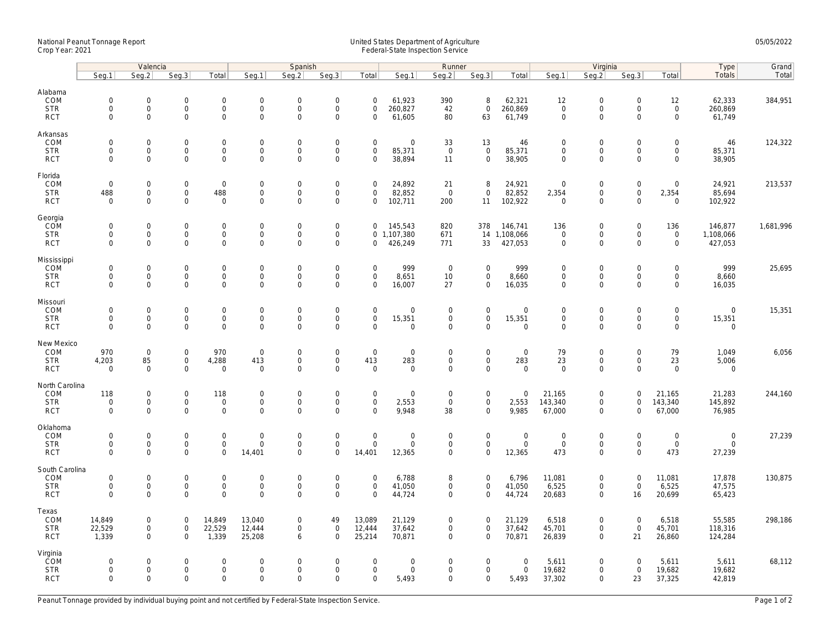## National Peanut Tonnage Report United States Department of Agriculture 05/05/2022 Crop Year: 2021 Federal-State Inspection Service

|                                                    | Valencia                                          |                                                   |                                                           |                                                 | Spanish                                            |                                            |                                                         |                                                        |                                          | Runner                                               |                                                   |                                         | Virginia                                  |                                                      |                                                   |                                                   | Type                                         | Grand     |
|----------------------------------------------------|---------------------------------------------------|---------------------------------------------------|-----------------------------------------------------------|-------------------------------------------------|----------------------------------------------------|--------------------------------------------|---------------------------------------------------------|--------------------------------------------------------|------------------------------------------|------------------------------------------------------|---------------------------------------------------|-----------------------------------------|-------------------------------------------|------------------------------------------------------|---------------------------------------------------|---------------------------------------------------|----------------------------------------------|-----------|
|                                                    | Seg.1                                             | Seg.2                                             | Seg.3                                                     | Total                                           | Seg.1                                              | Seq.2                                      | Seg.3                                                   | Total                                                  | Seg.1                                    | Seg.2                                                | Seg.3                                             | Total                                   | Seq.1                                     | Seq.2                                                | Seg.3                                             | Total                                             | Totals                                       | Total     |
| Alabama<br>COM<br><b>STR</b><br><b>RCT</b>         | $\mathsf 0$<br>$\mathsf{O}\xspace$<br>$\mathbf 0$ | $\mathbf 0$<br>$\mathbf 0$<br>$\mathbf 0$         | $\mathbf 0$<br>$\mathbf 0$<br>$\Omega$                    | 0<br>$\mathsf{O}\xspace$<br>$\overline{0}$      | $\mathsf{O}\xspace$<br>$\mathbf 0$<br>$\mathbf{0}$ | $\mathbf 0$<br>$\mathbf 0$<br>$\mathbf{0}$ | $\boldsymbol{0}$<br>$\mathsf{O}\xspace$<br>$\mathbf{0}$ | $\mathbf 0$<br>$\mathbf 0$<br>$\mathbf 0$              | 61,923<br>260,827<br>61,605              | 390<br>42<br>80                                      | 8<br>$\mathsf{O}$<br>63                           | 62,321<br>260,869<br>61,749             | 12<br>$\mathsf 0$<br>$\mathbf 0$          | $\mathbf 0$<br>$\boldsymbol{0}$<br>$\mathbf{0}$      | $\mathbf 0$<br>$\mathbf 0$<br>$\Omega$            | 12<br>$\mathbf 0$<br>$\mathbf 0$                  | 62,333<br>260,869<br>61,749                  | 384,951   |
| Arkansas<br>COM<br><b>STR</b><br><b>RCT</b>        | $\mathbf 0$<br>$\mathsf 0$<br>$\mathbf 0$         | $\mathbf 0$<br>$\mathsf{O}\xspace$<br>$\mathbf 0$ | $\mathbf 0$<br>$\mathbf 0$<br>$\mathbf 0$                 | 0<br>$\mathsf{O}\xspace$<br>$\mathsf{O}\xspace$ | $\mathbf 0$<br>$\mathsf{O}\xspace$<br>$\mathbf 0$  | $\mathbf 0$<br>$\mathbf 0$<br>$\mathsf{O}$ | $\mathbf 0$<br>$\mathsf{O}\xspace$<br>$\mathbf 0$       | $\mathbf 0$<br>$\mathbf 0$<br>$\mathbf 0$              | $\mathbf 0$<br>85,371<br>38,894          | 33<br>$\mathbf 0$<br>11                              | 13<br>$\mathsf{O}\xspace$<br>$\mathbf 0$          | 46<br>85,371<br>38,905                  | $\mathbf 0$<br>$\mathsf 0$<br>$\mathbf 0$ | $\mathbf 0$<br>$\mathbf 0$<br>$\mathbf{0}$           | $\mathbf 0$<br>$\mathbf 0$<br>$\mathbf 0$         | $\mathbf 0$<br>$\mathsf{O}\xspace$<br>$\mathbf 0$ | 46<br>85,371<br>38,905                       | 124,322   |
| Florida<br>COM<br><b>STR</b><br><b>RCT</b>         | $\mathbf 0$<br>488<br>$\mathsf 0$                 | $\mathbf 0$<br>$\mathsf{O}\xspace$<br>$\Omega$    | $\mathsf{O}\xspace$<br>$\mathbf 0$<br>$\Omega$            | $\mathsf 0$<br>488<br>$\mathsf 0$               | $\mathbf 0$<br>$\mathbf 0$<br>$\mathbf 0$          | 0<br>$\mathbf 0$<br>0                      | $\boldsymbol{0}$<br>$\mathbf 0$<br>$\mathbf 0$          | $\mathbf 0$<br>$\mathbf 0$<br>$\Omega$                 | 24,892<br>82,852<br>102,711              | 21<br>$\overline{0}$<br>200                          | 8<br>$\mathbf 0$<br>11                            | 24,921<br>82,852<br>102,922             | $\mathbf 0$<br>2,354<br>$\mathbf 0$       | $\mathbf 0$<br>$\mathbf 0$<br>$\mathbf 0$            | $\mathbf 0$<br>$\mathsf{O}\xspace$<br>$\Omega$    | $\mathsf{O}\xspace$<br>2,354<br>$\mathbf 0$       | 24,921<br>85,694<br>102,922                  | 213,537   |
| Georgia<br>COM<br><b>STR</b><br><b>RCT</b>         | $\mathbf 0$<br>$\mathbf 0$<br>$\mathbf 0$         | $\mathbf 0$<br>$\mathsf{O}\xspace$<br>$\Omega$    | $\mathbf 0$<br>$\mathbf 0$<br>$\Omega$                    | $\mathbf 0$<br>0<br>$\mathbf 0$                 | $\mathbf 0$<br>$\mathbf 0$<br>$\mathbf 0$          | $\mathbf 0$<br>$\mathsf{O}$<br>$\mathbf 0$ | $\boldsymbol{0}$<br>$\mathsf{O}\xspace$<br>$\mathbf 0$  | $\Omega$<br>$\mathbf 0$                                | 145,543<br>0 1,107,380<br>426,249        | 820<br>671<br>771                                    | 378<br>33                                         | 146,741<br>14 1,108,066<br>427,053      | 136<br>$\mathsf 0$<br>$\mathbf{0}$        | $\boldsymbol{0}$<br>$\boldsymbol{0}$<br>$\mathbf{0}$ | $\mathbf 0$<br>$\mathsf{O}\xspace$<br>$\Omega$    | 136<br>$\mathsf{O}$<br>$\mathbf 0$                | 146,877<br>1,108,066<br>427,053              | 1,681,996 |
| Mississippi<br>COM<br><b>STR</b><br><b>RCT</b>     | $\mathsf 0$<br>$\mathbf 0$<br>$\mathbf 0$         | $\mathbf 0$<br>$\mathsf{O}\xspace$<br>$\mathbf 0$ | $\mathsf{O}\xspace$<br>$\mathbf 0$<br>$\mathbf 0$         | 0<br>0<br>0                                     | $\mathbf 0$<br>$\mathbf 0$<br>$\mathbf{0}$         | $\overline{0}$<br>0<br>$\mathbf{0}$        | $\mathbf 0$<br>$\mathbf 0$<br>$\mathbf 0$               | $\mathbf 0$<br>$\mathbf 0$<br>$\mathbf 0$              | 999<br>8,651<br>16,007                   | $\overline{0}$<br>10<br>27                           | $\mathbf 0$<br>0<br>0                             | 999<br>8,660<br>16,035                  | $\mathbf 0$<br>$\mathbf 0$<br>$\mathbf 0$ | $\mathbf 0$<br>$\mathbf 0$<br>$\mathbf 0$            | $\mathbf 0$<br>$\mathbf 0$<br>$\mathbf 0$         | $\mathbf 0$<br>$\mathbf 0$<br>$\mathbf 0$         | 999<br>8,660<br>16,035                       | 25,695    |
| Missouri<br>COM<br><b>STR</b><br><b>RCT</b>        | $\mathbf 0$<br>$\mathsf 0$<br>$\mathbf 0$         | $\mathbf 0$<br>$\mathsf 0$<br>$\mathbf 0$         | $\mathbf 0$<br>$\mathbf 0$<br>$\mathbf 0$                 | 0<br>$\mathsf{O}\xspace$<br>$\mathbf 0$         | $\mathbf 0$<br>$\mathsf{O}\xspace$<br>$\mathbf{0}$ | $\Omega$<br>$\mathsf{O}$<br>$\mathbf 0$    | $\boldsymbol{0}$<br>$\mathsf{O}\xspace$<br>$\mathbf{0}$ | $\mathbf 0$<br>$\mathsf{O}\xspace$<br>$\Omega$         | $\mathbf 0$<br>15,351<br>$\Omega$        | $\overline{0}$<br>$\mathsf{O}\xspace$<br>$\mathbf 0$ | $\mathbf 0$<br>$\mathsf{O}\xspace$<br>$\mathbf 0$ | $\mathbf 0$<br>15,351<br>$\overline{0}$ | $\mathbf 0$<br>$\mathsf 0$<br>$\mathbf 0$ | $\mathbf 0$<br>$\mathbf 0$<br>$\mathbf{0}$           | $\mathbf 0$<br>$\mathbf 0$<br>$\mathbf 0$         | $\mathbf 0$<br>$\mathsf{O}\xspace$<br>$\mathbf 0$ | $\mathbf 0$<br>15,351<br>$\mathbf 0$         | 15,351    |
| New Mexico<br>COM<br><b>STR</b><br><b>RCT</b>      | 970<br>4,203<br>$\mathbf 0$                       | $\mathsf{O}\xspace$<br>85<br>$\mathbf 0$          | $\mathsf{O}\xspace$<br>$\mathbf 0$<br>$\mathbf 0$         | 970<br>4,288<br>$\mathsf 0$                     | $\mathbf 0$<br>413<br>$\mathbf 0$                  | 0<br>$\mathsf{O}$<br>0                     | $\boldsymbol{0}$<br>$\mathsf{O}\xspace$<br>$\mathbf 0$  | $\mathbf 0$<br>413<br>$\mathbf 0$                      | $\mathsf 0$<br>283<br>$\mathbf 0$        | $\mathsf{O}\xspace$<br>$\mathbf 0$<br>$\mathbf 0$    | 0<br>$\mathsf{O}$<br>0                            | $\mathbf 0$<br>283<br>$\mathbf 0$       | 79<br>23<br>$\mathbf 0$                   | $\boldsymbol{0}$<br>$\boldsymbol{0}$<br>$\mathbf 0$  | $\mathbf 0$<br>$\mathbf 0$<br>$\mathbf 0$         | 79<br>23<br>$\mathbf 0$                           | 1,049<br>5,006<br>$\mathbf 0$                | 6,056     |
| North Carolina<br>COM<br><b>STR</b><br><b>RCT</b>  | 118<br>$\mathbf 0$<br>$\mathbf 0$                 | $\mathsf{O}\xspace$<br>$\mathsf 0$<br>$\Omega$    | $\mathsf{O}\xspace$<br>$\mathsf{O}\xspace$<br>$\mathbf 0$ | 118<br>0<br>0                                   | $\mathbf 0$<br>$\mathbf{0}$<br>$\mathbf{0}$        | 0<br>$\mathsf{O}\xspace$<br>$\mathbf 0$    | $\boldsymbol{0}$<br>$\mathbf 0$<br>$\mathbf 0$          | $\mathsf{O}\xspace$<br>$\mathsf{O}\xspace$<br>$\Omega$ | $\mathbf 0$<br>2,553<br>9,948            | $\mathbf 0$<br>$\mathbf 0$<br>38                     | 0<br>$\mathsf{O}\xspace$<br>$\mathbf 0$           | $\mathsf 0$<br>2,553<br>9,985           | 21,165<br>143,340<br>67,000               | $\mathbf 0$<br>$\mathbf 0$<br>$\mathbf 0$            | $\mathsf{O}\xspace$<br>$\mathbf 0$<br>$\mathbf 0$ | 21,165<br>143,340<br>67,000                       | 21,283<br>145,892<br>76,985                  | 244,160   |
| Oklahoma<br>COM<br><b>STR</b><br><b>RCT</b>        | $\mathbf 0$<br>$\mathbf 0$<br>$\mathbf 0$         | $\mathbf 0$<br>$\mathsf 0$<br>$\mathbf 0$         | $\mathbf 0$<br>$\Omega$<br>$\mathbf 0$                    | 0<br>0<br>0                                     | $\mathbf 0$<br>$\mathbf 0$<br>14,401               | $\mathbf 0$<br>0<br>0                      | $\mathbf 0$<br>$\mathsf{O}\xspace$<br>$\mathbf 0$       | $\mathbf{0}$<br>$\Omega$<br>14,401                     | $\mathbf 0$<br>$\mathsf 0$<br>12,365     | $\mathbf 0$<br>$\mathbf 0$<br>$\mathbf 0$            | $\mathbf 0$<br>0<br>$\mathbf 0$                   | $\overline{0}$<br>$\mathbf 0$<br>12,365 | $\mathbf 0$<br>$\mathbf 0$<br>473         | $\mathbf 0$<br>$\boldsymbol{0}$<br>$\mathbf 0$       | $\mathbf 0$<br>$\mathbf 0$<br>$\Omega$            | $\mathbf 0$<br>$\mathbf 0$<br>473                 | $\mathbf 0$<br>$\mathsf{O}\xspace$<br>27,239 | 27,239    |
| South Carolina<br>COM<br><b>STR</b><br><b>RCT</b>  | $\mathsf{O}\xspace$<br>$\mathsf 0$<br>$\mathbf 0$ | $\mathsf{O}\xspace$<br>$\mathbf 0$<br>$\Omega$    | $\mathsf{O}\xspace$<br>$\mathbf 0$<br>$\Omega$            | 0<br>$\mathbf 0$<br>$\overline{0}$              | $\mathbf 0$<br>$\mathbf 0$<br>$\Omega$             | $\mathbf 0$<br>$\mathbf 0$<br>$\mathbf 0$  | $\boldsymbol{0}$<br>$\mathsf{O}\xspace$<br>$\mathbf 0$  | $\mathsf{O}\xspace$<br>$\mathbf 0$<br>$\Omega$         | 6,788<br>41,050<br>44,724                | 8<br>$\mathbf 0$<br>$\mathbf 0$                      | $\mathbf 0$<br>$\mathsf{O}$<br>$\mathbf 0$        | 6,796<br>41,050<br>44,724               | 11,081<br>6,525<br>20,683                 | $\boldsymbol{0}$<br>$\mathbf 0$<br>$\mathbf 0$       | $\mathsf{O}\xspace$<br>$\mathbf 0$<br>16          | 11,081<br>6,525<br>20,699                         | 17,878<br>47,575<br>65,423                   | 130,875   |
| Texas<br>COM<br><b>STR</b><br><b>RCT</b>           | 14,849<br>22,529<br>1,339                         | $\mathbf 0$<br>$\mathsf{O}\xspace$<br>$\mathbf 0$ | $\mathbf 0$<br>$\mathbf 0$<br>$\mathbf 0$                 | 14,849<br>22,529<br>1,339                       | 13,040<br>12,444<br>25,208                         | 0<br>$\mathsf{O}$<br>6                     | 49<br>$\mathbf 0$<br>$\mathbf 0$                        | 13,089<br>12,444<br>25,214                             | 21,129<br>37,642<br>70,871               | $\mathbf 0$<br>$\mathsf{O}\xspace$<br>$\mathbf 0$    | 0<br>$\mathsf{O}\xspace$<br>$\mathbf 0$           | 21,129<br>37,642<br>70,871              | 6,518<br>45,701<br>26,839                 | $\mathbf 0$<br>$\mathbf 0$<br>$\mathbf 0$            | $\mathbf 0$<br>$\mathsf{O}\xspace$<br>21          | 6,518<br>45,701<br>26,860                         | 55,585<br>118,316<br>124,284                 | 298,186   |
| Virginia<br><b>COM</b><br><b>STR</b><br><b>RCT</b> | $\mathbf 0$<br>$\mathbf 0$<br>$\mathbf 0$         | $\mathbf 0$<br>$\mathbf 0$<br>$\mathbf 0$         | $\mathbf 0$<br>$\mathbf 0$<br>$\mathbf 0$                 | 0<br>$\mathsf{O}\xspace$<br>0                   | $\overline{0}$<br>$\mathbf 0$<br>$\mathbf 0$       | 0<br>$\mathbf 0$<br>$\mathbf 0$            | $\boldsymbol{0}$<br>$\mathbf 0$<br>$\mathbf 0$          | $\mathbf 0$<br>$\mathbf 0$<br>$\mathbf 0$              | $\boldsymbol{0}$<br>$\mathbf 0$<br>5,493 | $\mathbf 0$<br>$\mathbf 0$<br>$\mathbf 0$            | 0<br>0<br>0                                       | $\mathbf 0$<br>$\mathsf 0$<br>5,493     | 5,611<br>19,682<br>37,302                 | $\mathbf 0$<br>$\mathbf 0$<br>$\mathbf 0$            | $\mathbf 0$<br>$\mathbf 0$<br>23                  | 5,611<br>19,682<br>37,325                         | 5,611<br>19,682<br>42,819                    | 68,112    |

Peanut Tonnage provided by individual buying point and not certified by Federal-State Inspection Service. Page 1 of 2